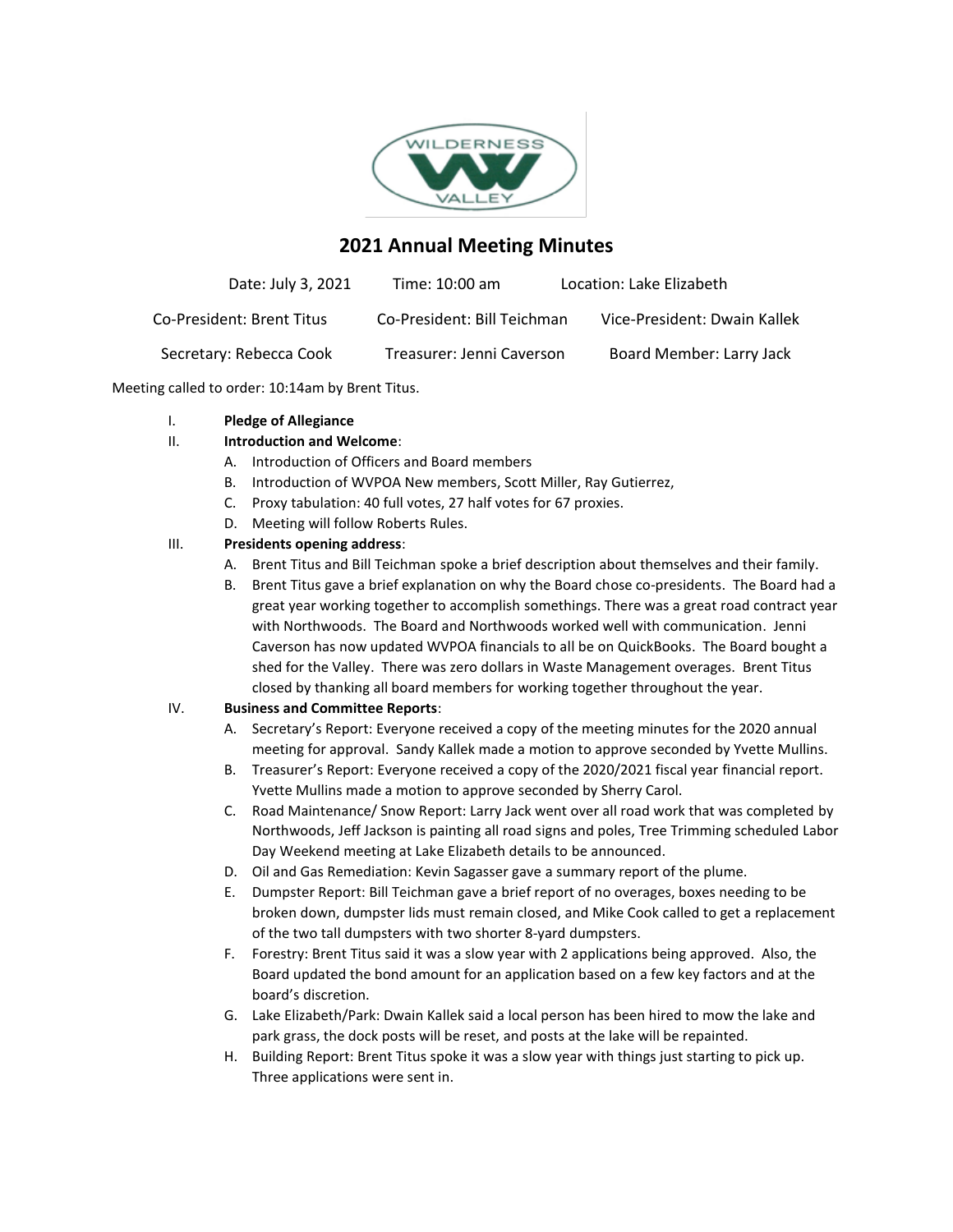

# **2021 Annual Meeting Minutes**

| Date: July 3, 2021        | Time: 10:00 am              | Location: Lake Elizabeth     |
|---------------------------|-----------------------------|------------------------------|
| Co-President: Brent Titus | Co-President: Bill Teichman | Vice-President: Dwain Kallek |
| Secretary: Rebecca Cook   | Treasurer: Jenni Caverson   | Board Member: Larry Jack     |

Meeting called to order: 10:14am by Brent Titus.

#### I. **Pledge of Allegiance**

## II. **Introduction and Welcome**:

- A. Introduction of Officers and Board members
- B. Introduction of WVPOA New members, Scott Miller, Ray Gutierrez,
- C. Proxy tabulation: 40 full votes, 27 half votes for 67 proxies.
- D. Meeting will follow Roberts Rules.

## III. **Presidents opening address**:

- A. Brent Titus and Bill Teichman spoke a brief description about themselves and their family.
- B. Brent Titus gave a brief explanation on why the Board chose co-presidents. The Board had a great year working together to accomplish somethings. There was a great road contract year with Northwoods. The Board and Northwoods worked well with communication. Jenni Caverson has now updated WVPOA financials to all be on QuickBooks. The Board bought a shed for the Valley. There was zero dollars in Waste Management overages. Brent Titus closed by thanking all board members for working together throughout the year.

## IV. **Business and Committee Reports**:

- A. Secretary's Report: Everyone received a copy of the meeting minutes for the 2020 annual meeting for approval. Sandy Kallek made a motion to approve seconded by Yvette Mullins.
- B. Treasurer's Report: Everyone received a copy of the 2020/2021 fiscal year financial report. Yvette Mullins made a motion to approve seconded by Sherry Carol.
- C. Road Maintenance/ Snow Report: Larry Jack went over all road work that was completed by Northwoods, Jeff Jackson is painting all road signs and poles, Tree Trimming scheduled Labor Day Weekend meeting at Lake Elizabeth details to be announced.
- D. Oil and Gas Remediation: Kevin Sagasser gave a summary report of the plume.
- E. Dumpster Report: Bill Teichman gave a brief report of no overages, boxes needing to be broken down, dumpster lids must remain closed, and Mike Cook called to get a replacement of the two tall dumpsters with two shorter 8-yard dumpsters.
- F. Forestry: Brent Titus said it was a slow year with 2 applications being approved. Also, the Board updated the bond amount for an application based on a few key factors and at the board's discretion.
- G. Lake Elizabeth/Park: Dwain Kallek said a local person has been hired to mow the lake and park grass, the dock posts will be reset, and posts at the lake will be repainted.
- H. Building Report: Brent Titus spoke it was a slow year with things just starting to pick up. Three applications were sent in.